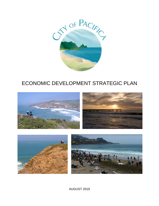

# ECONOMIC DEVELOPMENT STRATEGIC PLAN





AUGUST 2019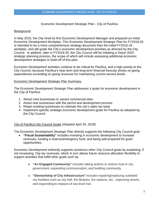#### Economic Development Strategic Plan - City of Pacifica

## **Background**

In May 2015, the City hired its first Economic Development Manager and prepared an initial Economic Development Workplan. This Economic Development Strategic Plan for FY2019-20 is intended to be a more comprehensive strategy document than the initial FY2015-16 workplan, and will guide the City's economic development priorities as directed by the City Council. In addition, later in FY2019-20, the City Council will be initiating a Vision 2025 strategic planning process, the scope of which will include assessing additional economic development strategies to build off of this plan.

Economic Development activities continue to be critical for Pacifica, and a high priority to the City Council, because Pacifica's near-term and long-term financial forecast shows on-going expenditures exceeding on-going revenues for maintaining current service levels.

#### Economic Development Strategic Plan Summary

The Economic Development Strategic Plan addresses 4 goals for economic development in the City of Pacifica:

- 1. Attract new businesses to vacant commercial sites
- 2. Assist new businesses with the permit and development process
- 3. Retain existing businesses to maintain the city's sales tax base
- 4. Implement specific strategic economic development goals for Pacifica as adopted by the City Council

# City of Pacifica City Council Goals (Adopted April 25, 2019)

The Economic Development Strategic Plan directly supports the following City Council goal:

• **"Fiscal Sustainability"** includes investing in economic development to increase revenues, funding a reserve/emergency fund, and being well prepared for grant opportunities.

Economic Development indirectly supports numerous other City Council goals by sustaining, if not increasing, City tax revenues, which in turn allows future resource allocation flexibility to support activities that fulfill other goals such as:

- o **"An Engaged Community"** includes taking actions to restore trust in city government, expanding communication, and building community.
- o **"Stewardship of City Infrastructure"** includes repairing/replacing outdated city facilities such as city hall, the libraries, fire stations, etc., improving streets, and responding to impacts of sea level rise.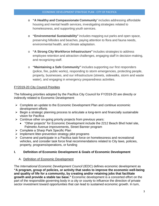- o **"A Healthy and Compassionate Community**" includes addressing affordable housing and mental health services, investigating strategies related to homelessness, and supporting youth services.
- o **"Environmental Sustainability"** includes mapping out parks and open space, preserving hillsides and beaches, paying attention to flora and fauna needs, environmental health, and climate adaptation.
- o **"A Strong City Workforce Infrastructure"** includes strategies to address employee retention and attraction challenges, engaging staff in decision-making, and recognizing staff.
- o **"Maintaining a Safe Community"** includes supporting our first responders (police, fire, public works), responding to storm emergencies, protecting people, property, businesses, and our infrastructure (streets, sidewalks, storm and waste water), and engaging in emergency preparedness activities.

# FY2019-20 City Council Priorities

The following priorities adopted by the Pacifica City Council for FY2019-20 are directly or indirectly related to Economic Development:

- $\triangleright$  Complete an update to the Economic Development Plan and continue economic development efforts
- $\triangleright$  Begin a strategic planning process to articulate a long-term and financially sustainable vision for Pacifica
- $\triangleright$  Continue other on-going priority projects from previous years:
	- "Other projects" for Economic Development include the 2212 Beach Blvd hotel site, Palmetto Avenue improvements, Street Banner program
- ▶ Complete a Sharp Park Specific Plan
- $\triangleright$  Implement litter-prevention strategy pilot programs
- Convene and participate in a Pacifica task force on homelessness and recreational vehicles, and consider task force final recommendations related to City laws, policies, property, programs/operations, or funding

# **I. Definition of Economic Development & Goals of Economic Development**

A. Definition of Economic Development

The *International Economic Development Council* (IEDC) defines economic development as **"A program, group of policies, or activity that seeks to improve the economic well-being and quality of life for a community, by creating and/or retaining jobs that facilitate growth and provide a stable tax base."** Economic development is a concerted effort on the part of the responsible governing body in a city or county to influence the direction of private sector investment toward opportunities that can lead to sustained economic growth. In turn,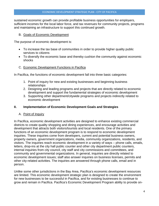sustained economic growth can provide profitable business opportunities for employers, sufficient incomes for the local labor force, and tax revenues for community projects, programs and maintaining an infrastructure to support this continued growth.

#### B. Goals of Economic Development

The purpose of economic development is:

- To increase the tax base of communities in order to provide higher quality public services to citizens
- To diversify the economic base and thereby cushion the community against economic shocks

# C. Economic Development Functions in Pacifica

In Pacifica, the functions of economic development fall into three basic categories:

- 1. Point of inquiry for new and existing businesses and beginning business relationships
- 2. Designing and leading programs and projects that are directly related to economic development and support the fundamental strategies of economic development
- 3. Supporting other department/citywide programs and projects indirectly related to economic development

# **II. Implementation of Economic Development Goals and Strategies**

# A. Point of Inquiry

In Pacifica, economic development activities are designed to enhance existing commercial districts to create quality shopping and dining experiences, and encourage activities and development that attracts both visitors/tourists and local residents. One of the primary functions of an economic development program is to respond to economic development inquiries. These inquiries come from developers, current and potential business owners, property owners, government organizations, media, community organizations, residents, and visitors. The inquiries reach economic development in a variety of ways – phone calls, emails, letters, drop-ins at the city hall public counter and other city department public counters, internal inquiries from city council, city staff and city commissions and committees, and community and governmental organizations. In general, inquiries are directly related to economic development issues; staff also answer inquiries on business licenses, permits and other city-related activities. The inquiries are answered through phone calls, email and in person.

Unlike some other jurisdictions in the Bay Area, Pacifica's economic development resources are limited. This economic development strategic plan is designed to create the environment for new businesses to be successful in Pacifica, and for existing businesses to continue to grow and remain in Pacifica. Pacifica's Economic Development Program ability to provide on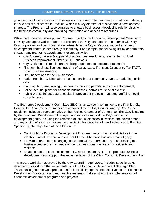going technical assistance to businesses is constrained. The program will continue to develop tools to assist businesses in Pacifica, which is a key element of this economic development strategy. The Program will also continue to engage businesses, developing relationships with the business community and providing information and access to resources.

While the Economic Development Program is led by the Economic Development Manager in the City Manager's Office under the direction of the City Manager in accordance with City Council policies and decisions, all departments in the City of Pacifica support economic development efforts, either directly or indirectly. For example, the following list by departments shows many Economic Development related activities:

- City Attorney: review & approval of ordinances, resolutions, council items, Hotel Business Improvement District (BID) renewals;
- City Clerk: council resolutions, noticing requirements, document research;
- Finance: business licenses, tracking of sales taxes, Transient Occupancy Tax [TOT], Hotel BID assessments;
- Fire: inspections for new businesses;
- Parks, Beaches & Recreation: leases, beach and community events, marketing, child care;
- Planning: land use, zoning, use permits, building permits, and code enforcement;
- Police: security plans for cannabis businesses, permits for special events;
- Public Works: infrastructure, capital improvement projects, trash and graffiti removal, street banners.

The Economic Development Committee (EDC) is an advisory committee to the Pacifica City Council. EDC committee members are appointed by the City Council, and by City Council resolution includes a representative of the Pacifica Chamber of Commerce. The EDC is staffed by the Economic Development Manager, and exists to support the City's economic development goals, including the retention of local businesses in Pacifica, the development and expansion of local businesses, and assist in the attraction of new businesses to Pacifica. Specifically, the objectives of the EDC are to:

- Work with the Economic Development Program, the community and visitors in the identification of new businesses that fill a neighborhood business market gap;
- Provide a forum for exchanging ideas, education, information, and addressing the business and economic needs of the business community and its residents and visitors;
- Reach out to the business community, residents, and visitors to promote business development and support the implementation of the City's Economic Development Plan

The EDC's workplan, approved by the City Council in April 2019, includes specific tasks designed to assist with the implementation of the Economic Development Strategic Plan. These tasks generate work product that helps fulfill the goals and objectives of the Economic Development Strategic Plan, and tangible materials that assist with the implementation of economic development programs and projects.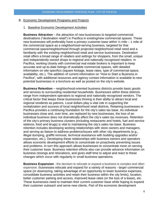#### B. Economic Development Programs and Projects

#### 1. Baseline Economic Development Activities

**Business Attraction** – the attraction of new businesses to targeted commercial destinations ("destination retail") in Pacifica in existing/new commercial spaces. These new businesses will preferably have a primary customer base within  $\frac{1}{2}$  mile – 1 mile of the commercial space as a neighborhood-serving business, targeted for that commercial space/neighborhood through projected neighborhood retail need and a familiarity with the existing neighborhood retail and service businesses. Destination retail offers a broad range of retailers and settings for shoppers, from the small, unique and independently owned shops to regional and nationally recognized retailers. In Pacifica, working closely with commercial real estate brokers is important to keep accurate and up-to-date listings of available commercial spaces, with detailed information on site specifics (square footage, lease rates, type of commercial space, availability, etc.). The addition of current information on "How to Start a Business in Pacifica", with additional resources and agency contact information is available to new potential businesses in a brochure as well as posted on the city's website.

**Business Retention** – neighborhood-oriented business districts provide basic goods and services to surrounding residential households. Businesses within these districts range from independent operators to regional and nationally recognized vendors. The critical factor that keeps these businesses thriving is their ability to attract local and regional residents as patrons. Local dollars play a vital role in supporting the revitalization and success of local neighborhood retail districts. Retaining businesses in Pacifica provides a continuing foundation for the city's sales tax base. As individual businesses close and, over time, are replaced by new businesses, the loss of an individual business does not dramatically affect the city's sales tax revenues. Retention of the city's primary business clusters (including restaurants and hotels, fuel and service stations, food and drugs) is vital to maintaining the city's sales tax base. Business retention includes developing working relationships with store owners and managers, and serving as liaison to address problems/issues with other city departments (e.g., illegal dumping, graffiti removal, technical assistance with building upgrades and/or expansion, etc.). Developing these relationships with business owners and operators allows economic development efforts to concentrate on proactively preventing issues and problems. In turn this approach allows businesses to concentrate more on serving their customer base. Business retention efforts also can provide advance information on business closings and relocations, and gives staff time to adjust and react to these changes which occur with regularity in small business operations.

**Business Expansion** - the decision to relocate or expand a business is complex and often expensive. Businesses relocate and expand for a variety of reasons - larger commercial space (or downsizing, taking advantage of an opportunity to lower business expenses, consolidate business activities and retain their business within the city limits), location, better customer parking and access, improved lease rates (or the loss of a lease), etc. These businesses need to maintain their current customer base while hoping to expand their customer outreach and serve new clients. Part of the economic development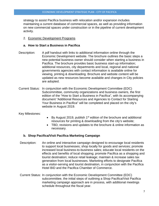strategy to assist Pacifica business with relocation and/or expansion includes maintaining a current database of commercial spaces, as well as providing information on new commercial spaces under construction or in the pipeline of current development activity.

### 2. Economic Development Programs

#### **a. How to Start a Business in Pacifica**

- Description: A pdf handout with links to additional information online through the Economic Development website. The brochure outlines the basic steps a new potential business owner should consider when starting a business in Pacifica. The brochure provides basic business start-up information; additional resources, city departments and local, regional and national governments agencies with contact information is available online for viewing, printing & downloading. Brochure and website content will be updated as new resources become available and changes in City policies are adopted.
- Current Status: In conjunction with the Economic Development Committee (EDC) Subcommittee, community organizations and business owners, the first edition of the "How to Start a Business in Pacifica", with its accompanying document "Additional Resources and Agencies to Contact for Starting Your Business in Pacifica" will be completed and placed on the city's website in August 2019.

Key Milestones:

- By August 2019, publish 1<sup>st</sup> edition of the brochure and additional resources for printing & downloading from the city's website;
- TBD, revisions and updates to the brochure & online information as necessary.

# **b. Shop Pacifica/Visit Pacifica Marketing Campaign**

- Description: An online and interactive campaign designed to encourage local residents to support local businesses; shop locally for goods and services; promote increased local business-to-business sales; educate local residents on the effects and benefits of local shopping; promote Pacifica as a shopping and tourist destination; reduce retail leakage; maintain & increase sales tax generation from local businesses. Marketing efforts to designate Pacifica as a visitor-serving and tourist destination, in conjunction with the Pacifica Hotel BID and the Pacifica Chamber of Commerce.
- Current Status: In conjunction with the Economic Development Committee (EDC) subcommittee, the initial steps of outlining a Shop Pacifica/Visit Pacifica marketing campaign approach are in process, with additional meetings schedule throughout the fiscal year.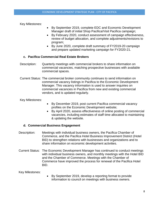Key Milestones:

- By September 2019, complete EDC and Economic Development Manager draft of initial Shop Pacifica/Visit Pacifica campaign;
- By February 2020, conduct assessment of campaign effectiveness, review of budget allocation, and complete adjustments/revisions to program;
- By June 2020, complete draft summary of FY2019-20 campaign and prepare updated marketing campaign for FY2020-21.

## **c. Pacifica Commercial Real Estate Brokers**

- Description: Quarterly meetings with commercial brokers to share information on commercial vacancies, matching prospective businesses with available commercial spaces.
- Current Status: The commercial broker community continues to send information on commercial vacancy listings in Pacifica to the Economic Development Manager. This vacancy information is used to answer inquiries on commercial vacancies in Pacifica from new and existing commercial vendors, and is updated regularly.

Key Milestones:

- By December 2019, post current Pacifica commercial vacancy profiles on the Economic Development website;
- By April 2020, assess effectiveness of online posting of commercial vacancies, including estimates of staff time allocated to maintaining & updating the website.

#### **d. Commercial Business Engagement**

- Description: Meetings with individual business owners, the Pacifica Chamber of Commerce, and the Pacifica Hotel Business Improvement District (Hotel BID) to strengthen relations with businesses and organizations and to share information on economic development activities.
- Current Status: The Economic Development Manager has continued to conduct meetings with individual business owners, and monthly meetings with the Hotel BID and the Chamber of Commerce. Meetings with the Chamber of Commerce have improved the process for renewal of the Pacifica Hotel BID.

Key Milestones:

• By September 2019, develop a reporting format to provide information to council on meetings with business owners.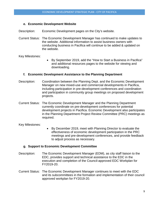#### **e. Economic Development Website**

Description: Economic Development pages on the City's website.

Current Status: The Economic Development Manager has continued to make updates to the website. Additional information to assist business owners with conducting business in Pacifica will continue to be added & updated on the website.

Key Milestones:

• By September 2019, add the "How to Start a Business in Pacifica" and additional resources pages to the website for viewing and downloading.

#### **f. Economic Development Assistance to the Planning Department**

- Description: Coordination between the Planning Dept. and the Economic Development Manager on new mixed-use and commercial developments in Pacifica, including participation in pre-development conferences and coordination and participation in community group meetings on proposed development projects.
- Current Status: The Economic Development Manager and the Planning Department currently coordinate on pre-development conferences for potential development projects in Pacifica. Economic Development also participates in the Planning Department Project Review Committee (PRC) meetings as required.

Key Milestones:

• By December 2019, meet with Planning Director to evaluate the effectiveness of economic development participation in the PRC meetings and pre-development conferences, and provide feedback to adjust process as necessary.

#### **g. Support to Economic Development Committee**

- Description: The Economic Development Manager (EDM), as city staff liaison to the EDC, provides support and technical assistance to the EDC in the execution and completion of the Council-approved EDC Workplan for FY2019-20.
- Current Status: The Economic Development Manager continues to meet with the EDC and its subcommittees in the formation and implementation of their council approved workplan for FY2019-20.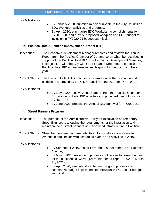Key Milestones:

- By January 2020, submit a mid-year update to the City Council on EDC Workplan activities and progress;
- By April 2020, summarize EDC Workplan accomplishments for FY2019-20, and provide proposed workplan and EDC budget for inclusion in FY2020-21 budget submittal.

## **h. Pacifica Hotel Business Improvement District (BID)**

- Description: The Economic Development Manager receives and reviews the Annual Report from the Pacifica Chamber of Commerce on Chamber activities in support of the Pacifica Hotel BID. The Economic Development Manager, in conjunction with the City Clerk and Finance Department, process the Pacifica Hotel BID annual renewal each spring for the upcoming fiscal year.
- Current Status: The Pacifica Hotel BID continues to operate under the resolution and guidelines approved by the City Council in June 2019 for FY2019-20.

Key Milestones:

- By May 2020, receive Annual Report from the Pacifica Chamber of Commerce on Hotel BID activities and projected use of funds for FY2020-21;
- By June 2020, process the Annual BID Renewal for FY2020-21.

# **i. Street Banners Program**

- Description: The purpose of the Administrative Policy for Installation of Temporary Street Banners is to outline the requirements for the installation and maintenance of street banners on City-owned infrastructure in Pacifica.
- Current Status: Street banners are being manufactured for installation on Palmetto Avenue in conjunction with scheduled events and activities in 2019.

Key Milestones:

- By September 2019, install 1<sup>st</sup> round of street banners on Palmetto Avenue;
- By March 2020, review and process applications for street banners for the succeeding twelve (12) month period (April 1, 2020 – March 31, 2021);
- By April 2020, evaluate street banner program process and summarize budget implications for inclusion in FY2020-21 budget submittal.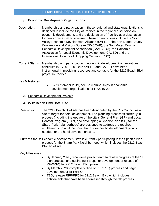## **j. Economic Development Organizations**

- Description: Membership and participation in these regional and state organizations is designed to include the City of Pacifica in the regional discussion on economic development, and the designation of Pacifica as a destination for new commercial businesses. These organizations include the Silicon Valley Economic Development Alliance (SVEDA), the San Mateo County Convention and Visitors Bureau (SMCCVB), the San Mateo County Economic Development Association (SAMCEDA), the California Association for Local Economic Development (CALED) and the International Council of Shopping Centers (ICSC).
- Current Status: Membership and participation in economic development organizations continues in FY2019-20. Both SVEDA and CALED have been instrumental in providing resources and contacts for the 2212 Beach Blvd project in Pacifica.

Key Milestones:

- By September 2019, secure memberships in economic development organizations for FY2019-20.
- 3. Economic Development Projects

## **a. 2212 Beach Blvd Hotel Site**

- Description: The 2212 Beach Blvd site has been designated by the City Council as a site to target for hotel development. The planning processes currently in process (including the update of the city's General Plan (GP) and Local Coastal Program (LCP), and developing a Specific Plan (SP) for the Sharp Park neighborhood) are designed to address the required entitlements up until the point that a site-specific development plan is needed for the hotel development site.
- Current Status: Economic development staff is currently participating in the Specific Plan process for the Sharp Park Neighborhood, which includes the 2212 Beach Blvd hotel site.

Key Milestones:

- By January 2020, reconvene project team to review progress of the SP plan process, and outline next steps for development of release of RFP/RFQ for 2212 Beach Blvd project;
- By March 2020, complete outline of RFP/RFQ process and begin development of RFP/RFQ;
- TBD, release RFP/RFQ for 2212 Beach Blvd which includes entitlements that have been addressed through the SP process.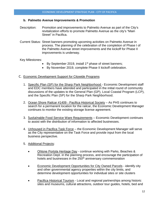#### **b. Palmetto Avenue Improvements & Promotion**

- Description: Promotion and improvements to Palmetto Avenue as part of the City's revitalization efforts to promote Palmetto Avenue as the city's "Main Street" in Pacifica.
- Current Status: Street banners promoting upcoming activities on Palmetto Avenue in process. The planning of the celebration of the completion of Phase I of the Palmetto Avenue street improvements and the kickoff for Phase II improvements is underway.

#### Key Milestones:

- By September 2019, install 1<sup>st</sup> phase of street banners;
- By November 2019, complete Phase II kickoff celebration.

## C. Economic Development Support for Citywide Programs

- 1. Specific Plan (SP) for the Sharp Park Neighborhood Economic Development staff and EDC members have attended and participated in the initial round of community discussions of the updates to the General Plan (GP), Local Coastal Program (LCP), and the Specific Plan (SP) for the Sharp Park Neighborhood.
- 2. Ocean Shore Railcar #1409 Pacifica Historical Society As PHS continues to search for a permanent location for the railcar, the Economic Development Manager continues to monitor the existing storage license agreement.
- 3. Sustainable Food Service Ware Requirements Economic Development continues to assist with the distribution of information to affected businesses.
- 4. Unhoused in Pacifica Task Force the Economic Development Manager will serve as the City representative on the Task Force and provide input from the local business perspective.
- 5. Additional Projects:
	- Ohlone Portola Heritage Day continue working with Parks, Beaches & Recreation Dept. in the planning process, and encourage the participation of hotels and businesses in the 250<sup>th</sup> anniversary commemoration
	- Economic Development Opportunities for City Owned Parcels identify city and other governmental agency properties within the city limits, and determine development opportunities for individual sites or site clusters
	- Pacifica Historical Tourism Local and regional partnerships among historic sites and museums, cultural attractions, outdoor tour guides, hotels, bed and